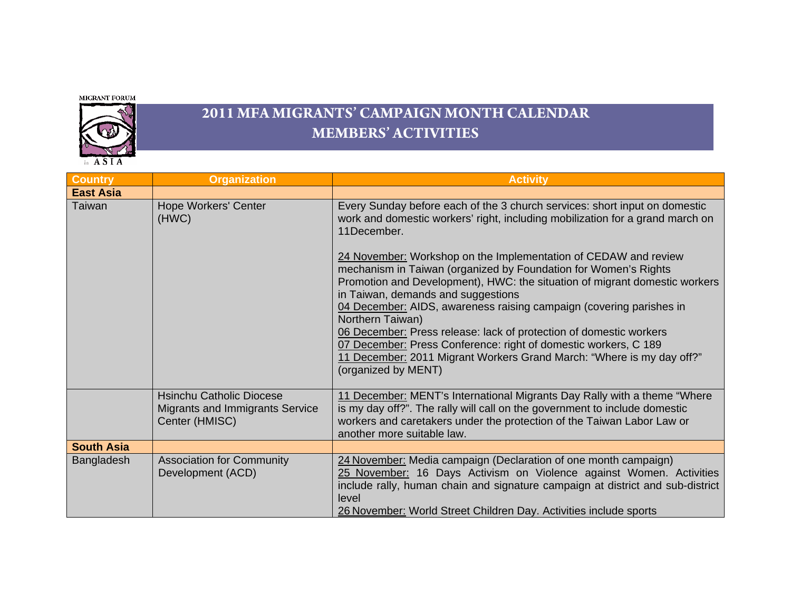MIGRANT FORUM



## **2011 MFA MIGRANTS' CAMPAIGN MONTH CALENDAR MEMBERS' ACTIVITIES**

| <b>Country</b>    | <b>Organization</b>                                                                         | <b>Activity</b>                                                                                                                                                                                                                                                                                                                                                                                                                                                                                                                                                                                                                                                                                                                                                          |
|-------------------|---------------------------------------------------------------------------------------------|--------------------------------------------------------------------------------------------------------------------------------------------------------------------------------------------------------------------------------------------------------------------------------------------------------------------------------------------------------------------------------------------------------------------------------------------------------------------------------------------------------------------------------------------------------------------------------------------------------------------------------------------------------------------------------------------------------------------------------------------------------------------------|
| <b>East Asia</b>  |                                                                                             |                                                                                                                                                                                                                                                                                                                                                                                                                                                                                                                                                                                                                                                                                                                                                                          |
| Taiwan            | <b>Hope Workers' Center</b><br>(HWC)                                                        | Every Sunday before each of the 3 church services: short input on domestic<br>work and domestic workers' right, including mobilization for a grand march on<br>11December.<br>24 November: Workshop on the Implementation of CEDAW and review<br>mechanism in Taiwan (organized by Foundation for Women's Rights<br>Promotion and Development), HWC: the situation of migrant domestic workers<br>in Taiwan, demands and suggestions<br>04 December: AIDS, awareness raising campaign (covering parishes in<br>Northern Taiwan)<br>06 December: Press release: lack of protection of domestic workers<br>07 December: Press Conference: right of domestic workers, C 189<br>11 December: 2011 Migrant Workers Grand March: "Where is my day off?"<br>(organized by MENT) |
|                   | <b>Hsinchu Catholic Diocese</b><br><b>Migrants and Immigrants Service</b><br>Center (HMISC) | 11 December: MENT's International Migrants Day Rally with a theme "Where"<br>is my day off?". The rally will call on the government to include domestic<br>workers and caretakers under the protection of the Taiwan Labor Law or<br>another more suitable law.                                                                                                                                                                                                                                                                                                                                                                                                                                                                                                          |
| <b>South Asia</b> |                                                                                             |                                                                                                                                                                                                                                                                                                                                                                                                                                                                                                                                                                                                                                                                                                                                                                          |
| Bangladesh        | <b>Association for Community</b><br>Development (ACD)                                       | 24 November: Media campaign (Declaration of one month campaign)<br>25 November: 16 Days Activism on Violence against Women. Activities<br>include rally, human chain and signature campaign at district and sub-district<br>level<br>26 November: World Street Children Day. Activities include sports                                                                                                                                                                                                                                                                                                                                                                                                                                                                   |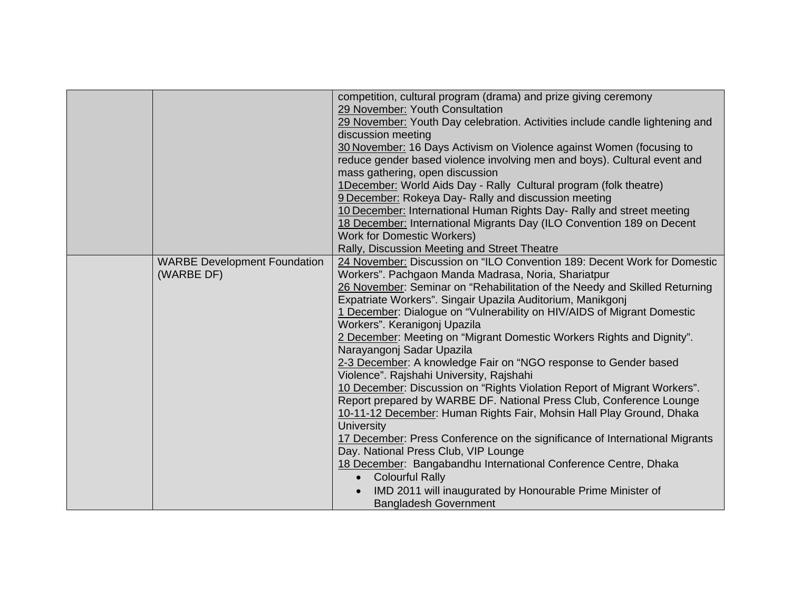|                                     | competition, cultural program (drama) and prize giving ceremony              |
|-------------------------------------|------------------------------------------------------------------------------|
|                                     | 29 November: Youth Consultation                                              |
|                                     | 29 November: Youth Day celebration. Activities include candle lightening and |
|                                     | discussion meeting                                                           |
|                                     |                                                                              |
|                                     | 30 November: 16 Days Activism on Violence against Women (focusing to         |
|                                     | reduce gender based violence involving men and boys). Cultural event and     |
|                                     | mass gathering, open discussion                                              |
|                                     | 1December: World Aids Day - Rally Cultural program (folk theatre)            |
|                                     | 9 December: Rokeya Day- Rally and discussion meeting                         |
|                                     | 10 December: International Human Rights Day- Rally and street meeting        |
|                                     | 18 December: International Migrants Day (ILO Convention 189 on Decent        |
|                                     | <b>Work for Domestic Workers)</b>                                            |
|                                     | Rally, Discussion Meeting and Street Theatre                                 |
| <b>WARBE Development Foundation</b> | 24 November: Discussion on "ILO Convention 189: Decent Work for Domestic     |
| (WARBE DF)                          | Workers". Pachgaon Manda Madrasa, Noria, Shariatpur                          |
|                                     | 26 November: Seminar on "Rehabilitation of the Needy and Skilled Returning   |
|                                     | Expatriate Workers". Singair Upazila Auditorium, Manikgonj                   |
|                                     | 1 December: Dialogue on "Vulnerability on HIV/AIDS of Migrant Domestic       |
|                                     | Workers". Keranigonj Upazila                                                 |
|                                     | 2 December: Meeting on "Migrant Domestic Workers Rights and Dignity".        |
|                                     | Narayangonj Sadar Upazila                                                    |
|                                     | 2-3 December: A knowledge Fair on "NGO response to Gender based              |
|                                     | Violence". Rajshahi University, Rajshahi                                     |
|                                     | 10 December: Discussion on "Rights Violation Report of Migrant Workers".     |
|                                     | Report prepared by WARBE DF. National Press Club, Conference Lounge          |
|                                     | 10-11-12 December: Human Rights Fair, Mohsin Hall Play Ground, Dhaka         |
|                                     | <b>University</b>                                                            |
|                                     | 17 December: Press Conference on the significance of International Migrants  |
|                                     | Day. National Press Club, VIP Lounge                                         |
|                                     | 18 December: Bangabandhu International Conference Centre, Dhaka              |
|                                     | <b>Colourful Rally</b>                                                       |
|                                     |                                                                              |
|                                     | IMD 2011 will inaugurated by Honourable Prime Minister of                    |
|                                     | <b>Bangladesh Government</b>                                                 |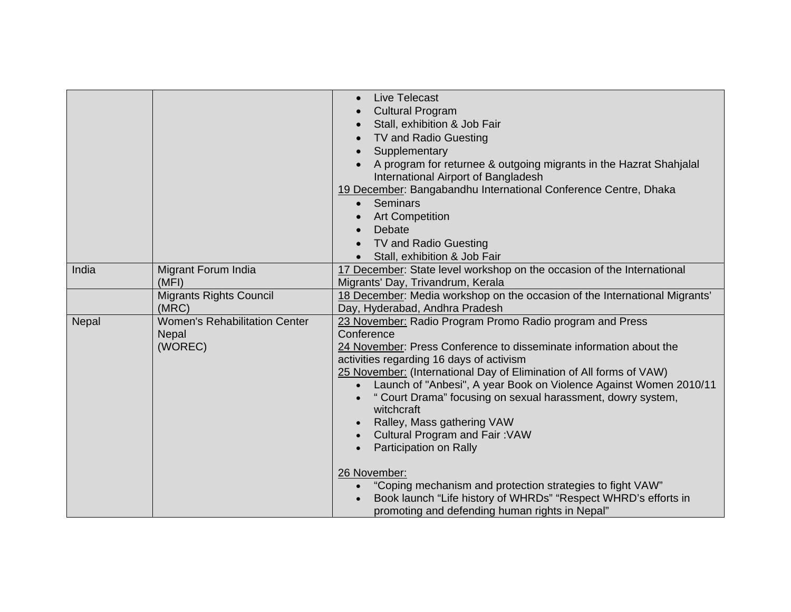|       |                                                                 | Live Telecast<br>$\bullet$<br><b>Cultural Program</b><br>Stall, exhibition & Job Fair<br>TV and Radio Guesting<br>Supplementary<br>A program for returnee & outgoing migrants in the Hazrat Shahjalal<br>International Airport of Bangladesh<br>19 December: Bangabandhu International Conference Centre, Dhaka<br>Seminars<br>$\bullet$<br><b>Art Competition</b><br>Debate<br>TV and Radio Guesting<br>Stall, exhibition & Job Fair                                                                                                                                                                                                                                                                                                         |
|-------|-----------------------------------------------------------------|-----------------------------------------------------------------------------------------------------------------------------------------------------------------------------------------------------------------------------------------------------------------------------------------------------------------------------------------------------------------------------------------------------------------------------------------------------------------------------------------------------------------------------------------------------------------------------------------------------------------------------------------------------------------------------------------------------------------------------------------------|
| India | <b>Migrant Forum India</b><br>(MFI)                             | 17 December: State level workshop on the occasion of the International<br>Migrants' Day, Trivandrum, Kerala                                                                                                                                                                                                                                                                                                                                                                                                                                                                                                                                                                                                                                   |
|       | <b>Migrants Rights Council</b><br>(MRC)                         | 18 December: Media workshop on the occasion of the International Migrants'<br>Day, Hyderabad, Andhra Pradesh                                                                                                                                                                                                                                                                                                                                                                                                                                                                                                                                                                                                                                  |
| Nepal | <b>Women's Rehabilitation Center</b><br><b>Nepal</b><br>(WOREC) | 23 November: Radio Program Promo Radio program and Press<br>Conference<br>24 November: Press Conference to disseminate information about the<br>activities regarding 16 days of activism<br>25 November: (International Day of Elimination of All forms of VAW)<br>Launch of "Anbesi", A year Book on Violence Against Women 2010/11<br>$\bullet$<br>" Court Drama" focusing on sexual harassment, dowry system,<br>witchcraft<br>Ralley, Mass gathering VAW<br><b>Cultural Program and Fair: VAW</b><br>Participation on Rally<br>26 November:<br>"Coping mechanism and protection strategies to fight VAW"<br>$\bullet$<br>Book launch "Life history of WHRDs" "Respect WHRD's efforts in<br>promoting and defending human rights in Nepal" |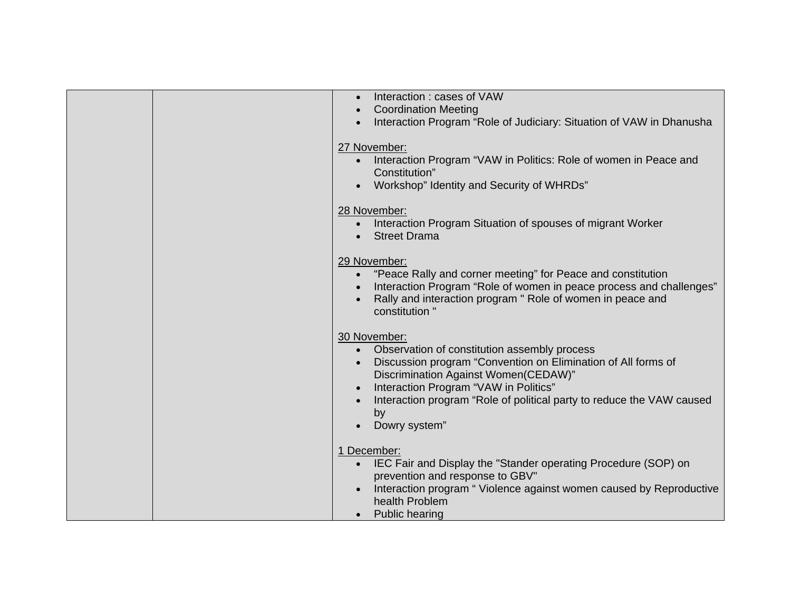|  | Interaction: cases of VAW                                                     |
|--|-------------------------------------------------------------------------------|
|  | <b>Coordination Meeting</b>                                                   |
|  | Interaction Program "Role of Judiciary: Situation of VAW in Dhanusha          |
|  |                                                                               |
|  | 27 November:                                                                  |
|  | Interaction Program "VAW in Politics: Role of women in Peace and<br>$\bullet$ |
|  |                                                                               |
|  | Constitution"                                                                 |
|  | Workshop" Identity and Security of WHRDs"                                     |
|  | 28 November:                                                                  |
|  | Interaction Program Situation of spouses of migrant Worker                    |
|  | <b>Street Drama</b>                                                           |
|  |                                                                               |
|  | 29 November:                                                                  |
|  | "Peace Rally and corner meeting" for Peace and constitution<br>$\bullet$      |
|  |                                                                               |
|  | Interaction Program "Role of women in peace process and challenges"           |
|  | Rally and interaction program " Role of women in peace and                    |
|  | constitution "                                                                |
|  | 30 November:                                                                  |
|  | Observation of constitution assembly process<br>$\bullet$                     |
|  |                                                                               |
|  | Discussion program "Convention on Elimination of All forms of                 |
|  | Discrimination Against Women(CEDAW)"                                          |
|  | Interaction Program "VAW in Politics"                                         |
|  | Interaction program "Role of political party to reduce the VAW caused         |
|  | by                                                                            |
|  | Dowry system"                                                                 |
|  |                                                                               |
|  | 1 December:                                                                   |
|  | IEC Fair and Display the "Stander operating Procedure (SOP) on                |
|  | prevention and response to GBV"                                               |
|  | Interaction program "Violence against women caused by Reproductive            |
|  | health Problem                                                                |
|  | <b>Public hearing</b>                                                         |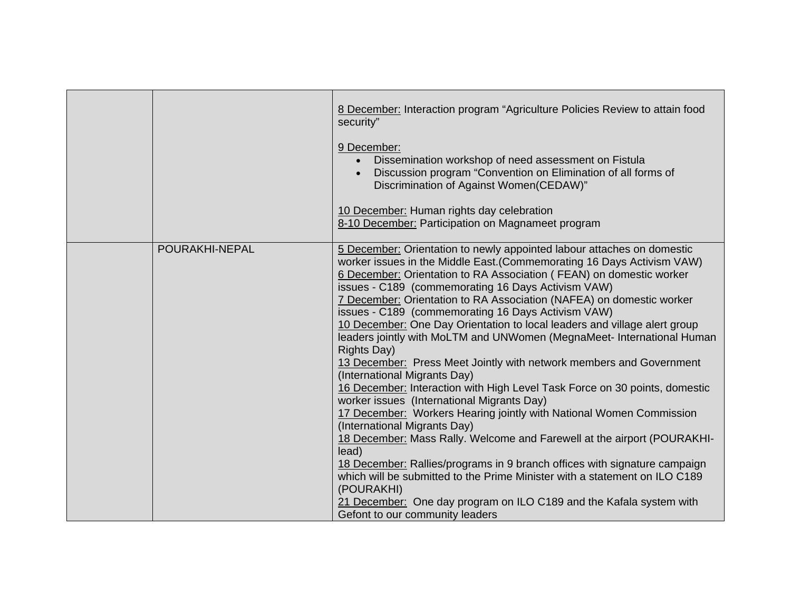|                | 8 December: Interaction program "Agriculture Policies Review to attain food<br>security"<br>9 December:<br>Dissemination workshop of need assessment on Fistula<br>Discussion program "Convention on Elimination of all forms of<br>Discrimination of Against Women(CEDAW)"<br>10 December: Human rights day celebration<br>8-10 December: Participation on Magnameet program                                                                                                                                                                                                                                                                                                                                                                                                                                                                                                                                                                                                                                                                                                                                                                                                                                                                                                                             |
|----------------|-----------------------------------------------------------------------------------------------------------------------------------------------------------------------------------------------------------------------------------------------------------------------------------------------------------------------------------------------------------------------------------------------------------------------------------------------------------------------------------------------------------------------------------------------------------------------------------------------------------------------------------------------------------------------------------------------------------------------------------------------------------------------------------------------------------------------------------------------------------------------------------------------------------------------------------------------------------------------------------------------------------------------------------------------------------------------------------------------------------------------------------------------------------------------------------------------------------------------------------------------------------------------------------------------------------|
| POURAKHI-NEPAL | 5 December: Orientation to newly appointed labour attaches on domestic<br>worker issues in the Middle East. (Commemorating 16 Days Activism VAW)<br>6 December: Orientation to RA Association (FEAN) on domestic worker<br>issues - C189 (commemorating 16 Days Activism VAW)<br>7 December: Orientation to RA Association (NAFEA) on domestic worker<br>issues - C189 (commemorating 16 Days Activism VAW)<br>10 December: One Day Orientation to local leaders and village alert group<br>leaders jointly with MoLTM and UNWomen (MegnaMeet- International Human<br><b>Rights Day)</b><br>13 December: Press Meet Jointly with network members and Government<br>(International Migrants Day)<br>16 December: Interaction with High Level Task Force on 30 points, domestic<br>worker issues (International Migrants Day)<br>17 December: Workers Hearing jointly with National Women Commission<br>(International Migrants Day)<br>18 December: Mass Rally. Welcome and Farewell at the airport (POURAKHI-<br>lead)<br>18 December: Rallies/programs in 9 branch offices with signature campaign<br>which will be submitted to the Prime Minister with a statement on ILO C189<br>(POURAKHI)<br>21 December: One day program on ILO C189 and the Kafala system with<br>Gefont to our community leaders |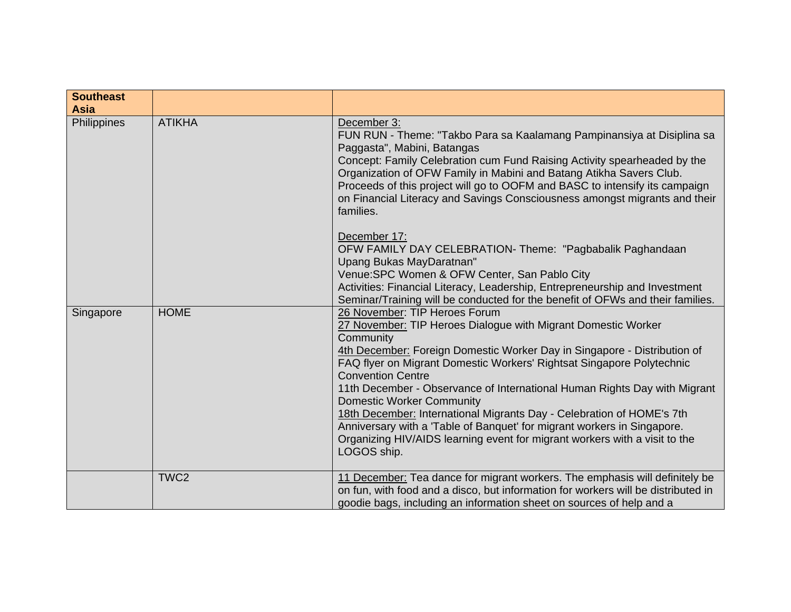| <b>Southeast</b><br><b>Asia</b> |                  |                                                                                                                                                                                                                                                                                                                                                                                                                                                                                                                                                                                                                                                                |
|---------------------------------|------------------|----------------------------------------------------------------------------------------------------------------------------------------------------------------------------------------------------------------------------------------------------------------------------------------------------------------------------------------------------------------------------------------------------------------------------------------------------------------------------------------------------------------------------------------------------------------------------------------------------------------------------------------------------------------|
| Philippines                     | <b>ATIKHA</b>    | December 3:<br>FUN RUN - Theme: "Takbo Para sa Kaalamang Pampinansiya at Disiplina sa<br>Paggasta", Mabini, Batangas<br>Concept: Family Celebration cum Fund Raising Activity spearheaded by the<br>Organization of OFW Family in Mabini and Batang Atikha Savers Club.<br>Proceeds of this project will go to OOFM and BASC to intensify its campaign<br>on Financial Literacy and Savings Consciousness amongst migrants and their<br>families.                                                                                                                                                                                                              |
|                                 |                  | December 17:<br>OFW FAMILY DAY CELEBRATION- Theme: "Pagbabalik Paghandaan<br>Upang Bukas MayDaratnan"<br>Venue: SPC Women & OFW Center, San Pablo City<br>Activities: Financial Literacy, Leadership, Entrepreneurship and Investment<br>Seminar/Training will be conducted for the benefit of OFWs and their families.                                                                                                                                                                                                                                                                                                                                        |
| Singapore                       | <b>HOME</b>      | 26 November: TIP Heroes Forum<br>27 November: TIP Heroes Dialogue with Migrant Domestic Worker<br>Community<br>4th December: Foreign Domestic Worker Day in Singapore - Distribution of<br>FAQ flyer on Migrant Domestic Workers' Rightsat Singapore Polytechnic<br><b>Convention Centre</b><br>11th December - Observance of International Human Rights Day with Migrant<br><b>Domestic Worker Community</b><br>18th December: International Migrants Day - Celebration of HOME's 7th<br>Anniversary with a 'Table of Banquet' for migrant workers in Singapore.<br>Organizing HIV/AIDS learning event for migrant workers with a visit to the<br>LOGOS ship. |
|                                 | TWC <sub>2</sub> | 11 December: Tea dance for migrant workers. The emphasis will definitely be<br>on fun, with food and a disco, but information for workers will be distributed in<br>goodie bags, including an information sheet on sources of help and a                                                                                                                                                                                                                                                                                                                                                                                                                       |